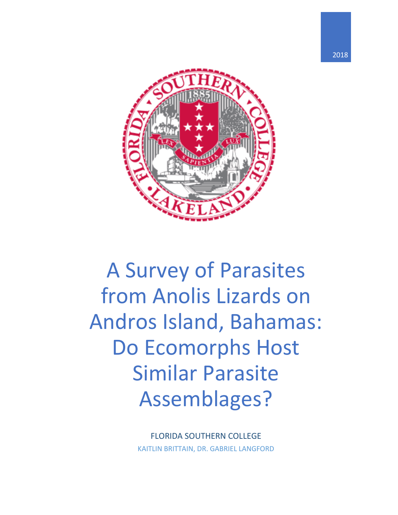

# A Survey of Parasites from Anolis Lizards on Andros Island, Bahamas: Do Ecomorphs Host Similar Parasite Assemblages?

FLORIDA SOUTHERN COLLEGE KAITLIN BRITTAIN, DR. GABRIEL LANGFORD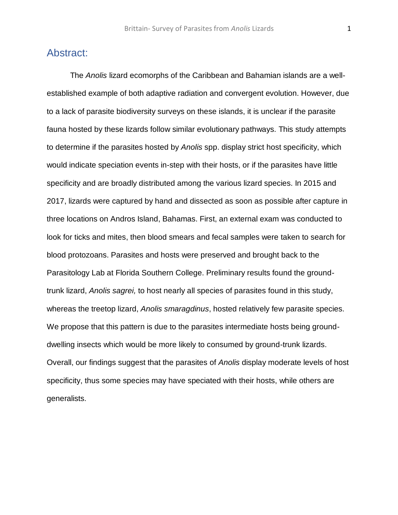## Abstract:

The *Anolis* lizard ecomorphs of the Caribbean and Bahamian islands are a wellestablished example of both adaptive radiation and convergent evolution. However, due to a lack of parasite biodiversity surveys on these islands, it is unclear if the parasite fauna hosted by these lizards follow similar evolutionary pathways. This study attempts to determine if the parasites hosted by *Anolis* spp. display strict host specificity, which would indicate speciation events in-step with their hosts, or if the parasites have little specificity and are broadly distributed among the various lizard species. In 2015 and 2017, lizards were captured by hand and dissected as soon as possible after capture in three locations on Andros Island, Bahamas. First, an external exam was conducted to look for ticks and mites, then blood smears and fecal samples were taken to search for blood protozoans. Parasites and hosts were preserved and brought back to the Parasitology Lab at Florida Southern College. Preliminary results found the groundtrunk lizard, *Anolis sagrei,* to host nearly all species of parasites found in this study, whereas the treetop lizard, *Anolis smaragdinus*, hosted relatively few parasite species. We propose that this pattern is due to the parasites intermediate hosts being grounddwelling insects which would be more likely to consumed by ground-trunk lizards. Overall, our findings suggest that the parasites of *Anolis* display moderate levels of host specificity, thus some species may have speciated with their hosts, while others are generalists.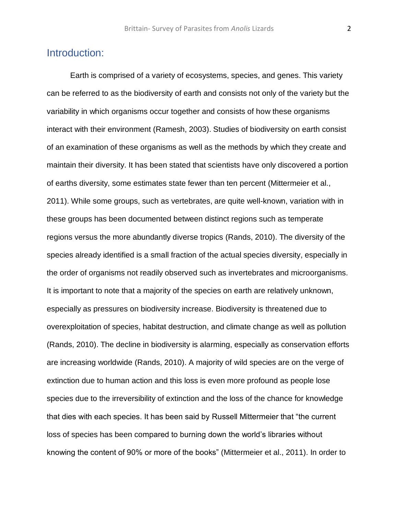## Introduction:

Earth is comprised of a variety of ecosystems, species, and genes. This variety can be referred to as the biodiversity of earth and consists not only of the variety but the variability in which organisms occur together and consists of how these organisms interact with their environment (Ramesh, 2003). Studies of biodiversity on earth consist of an examination of these organisms as well as the methods by which they create and maintain their diversity. It has been stated that scientists have only discovered a portion of earths diversity, some estimates state fewer than ten percent (Mittermeier et al., 2011). While some groups, such as vertebrates, are quite well-known, variation with in these groups has been documented between distinct regions such as temperate regions versus the more abundantly diverse tropics (Rands, 2010). The diversity of the species already identified is a small fraction of the actual species diversity, especially in the order of organisms not readily observed such as invertebrates and microorganisms. It is important to note that a majority of the species on earth are relatively unknown, especially as pressures on biodiversity increase. Biodiversity is threatened due to overexploitation of species, habitat destruction, and climate change as well as pollution (Rands, 2010). The decline in biodiversity is alarming, especially as conservation efforts are increasing worldwide (Rands, 2010). A majority of wild species are on the verge of extinction due to human action and this loss is even more profound as people lose species due to the irreversibility of extinction and the loss of the chance for knowledge that dies with each species. It has been said by Russell Mittermeier that "the current loss of species has been compared to burning down the world's libraries without knowing the content of 90% or more of the books" (Mittermeier et al., 2011). In order to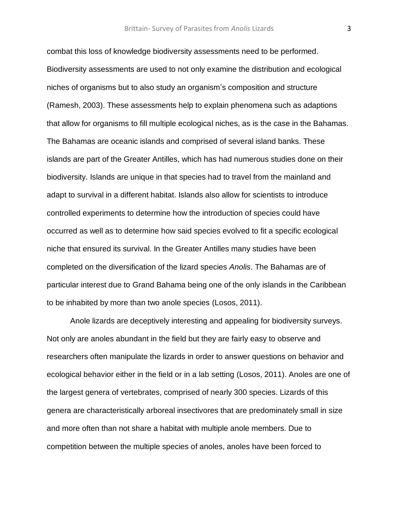combat this loss of knowledge biodiversity assessments need to be performed. Biodiversity assessments are used to not only examine the distribution and ecological niches of organisms but to also study an organism's composition and structure (Ramesh, 2003). These assessments help to explain phenomena such as adaptions that allow for organisms to fill multiple ecological niches, as is the case in the Bahamas. The Bahamas are oceanic islands and comprised of several island banks. These islands are part of the Greater Antilles, which has had numerous studies done on their biodiversity. Islands are unique in that species had to travel from the mainland and adapt to survival in a different habitat. Islands also allow for scientists to introduce controlled experiments to determine how the introduction of species could have occurred as well as to determine how said species evolved to fit a specific ecological niche that ensured its survival. In the Greater Antilles many studies have been completed on the diversification of the lizard species *Anolis*. The Bahamas are of particular interest due to Grand Bahama being one of the only islands in the Caribbean to be inhabited by more than two anole species (Losos, 2011).

Anole lizards are deceptively interesting and appealing for biodiversity surveys. Not only are anoles abundant in the field but they are fairly easy to observe and researchers often manipulate the lizards in order to answer questions on behavior and ecological behavior either in the field or in a lab setting (Losos, 2011). Anoles are one of the largest genera of vertebrates, comprised of nearly 300 species. Lizards of this genera are characteristically arboreal insectivores that are predominately small in size and more often than not share a habitat with multiple anole members. Due to competition between the multiple species of anoles, anoles have been forced to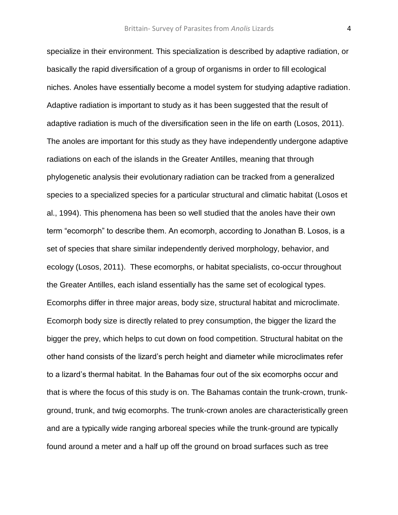specialize in their environment. This specialization is described by adaptive radiation, or basically the rapid diversification of a group of organisms in order to fill ecological niches. Anoles have essentially become a model system for studying adaptive radiation. Adaptive radiation is important to study as it has been suggested that the result of adaptive radiation is much of the diversification seen in the life on earth (Losos, 2011). The anoles are important for this study as they have independently undergone adaptive radiations on each of the islands in the Greater Antilles, meaning that through phylogenetic analysis their evolutionary radiation can be tracked from a generalized species to a specialized species for a particular structural and climatic habitat (Losos et al., 1994). This phenomena has been so well studied that the anoles have their own term "ecomorph" to describe them. An ecomorph, according to Jonathan B. Losos, is a set of species that share similar independently derived morphology, behavior, and ecology (Losos, 2011). These ecomorphs, or habitat specialists, co-occur throughout the Greater Antilles, each island essentially has the same set of ecological types. Ecomorphs differ in three major areas, body size, structural habitat and microclimate. Ecomorph body size is directly related to prey consumption, the bigger the lizard the bigger the prey, which helps to cut down on food competition. Structural habitat on the other hand consists of the lizard's perch height and diameter while microclimates refer to a lizard's thermal habitat. In the Bahamas four out of the six ecomorphs occur and that is where the focus of this study is on. The Bahamas contain the trunk-crown, trunkground, trunk, and twig ecomorphs. The trunk-crown anoles are characteristically green and are a typically wide ranging arboreal species while the trunk-ground are typically found around a meter and a half up off the ground on broad surfaces such as tree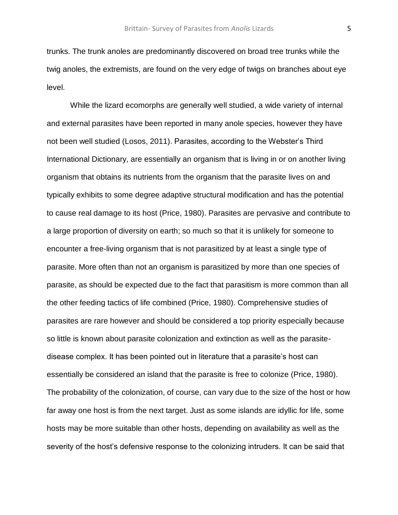trunks. The trunk anoles are predominantly discovered on broad tree trunks while the twig anoles, the extremists, are found on the very edge of twigs on branches about eye level.

While the lizard ecomorphs are generally well studied, a wide variety of internal and external parasites have been reported in many anole species, however they have not been well studied (Losos, 2011). Parasites, according to the Webster's Third International Dictionary, are essentially an organism that is living in or on another living organism that obtains its nutrients from the organism that the parasite lives on and typically exhibits to some degree adaptive structural modification and has the potential to cause real damage to its host (Price, 1980). Parasites are pervasive and contribute to a large proportion of diversity on earth; so much so that it is unlikely for someone to encounter a free-living organism that is not parasitized by at least a single type of parasite. More often than not an organism is parasitized by more than one species of parasite, as should be expected due to the fact that parasitism is more common than all the other feeding tactics of life combined (Price, 1980). Comprehensive studies of parasites are rare however and should be considered a top priority especially because so little is known about parasite colonization and extinction as well as the parasitedisease complex. It has been pointed out in literature that a parasite's host can essentially be considered an island that the parasite is free to colonize (Price, 1980). The probability of the colonization, of course, can vary due to the size of the host or how far away one host is from the next target. Just as some islands are idyllic for life, some hosts may be more suitable than other hosts, depending on availability as well as the severity of the host's defensive response to the colonizing intruders. It can be said that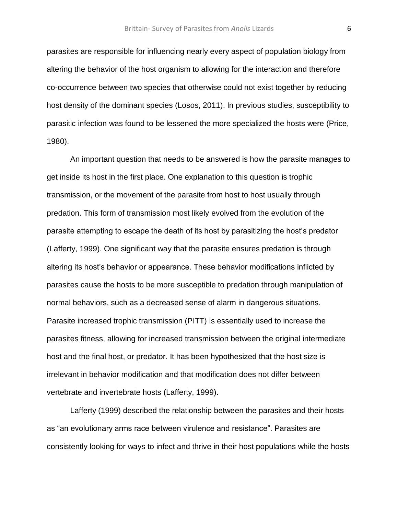parasites are responsible for influencing nearly every aspect of population biology from altering the behavior of the host organism to allowing for the interaction and therefore co-occurrence between two species that otherwise could not exist together by reducing host density of the dominant species (Losos, 2011). In previous studies, susceptibility to parasitic infection was found to be lessened the more specialized the hosts were (Price, 1980).

An important question that needs to be answered is how the parasite manages to get inside its host in the first place. One explanation to this question is trophic transmission, or the movement of the parasite from host to host usually through predation. This form of transmission most likely evolved from the evolution of the parasite attempting to escape the death of its host by parasitizing the host's predator (Lafferty, 1999). One significant way that the parasite ensures predation is through altering its host's behavior or appearance. These behavior modifications inflicted by parasites cause the hosts to be more susceptible to predation through manipulation of normal behaviors, such as a decreased sense of alarm in dangerous situations. Parasite increased trophic transmission (PITT) is essentially used to increase the parasites fitness, allowing for increased transmission between the original intermediate host and the final host, or predator. It has been hypothesized that the host size is irrelevant in behavior modification and that modification does not differ between vertebrate and invertebrate hosts (Lafferty, 1999).

Lafferty (1999) described the relationship between the parasites and their hosts as "an evolutionary arms race between virulence and resistance". Parasites are consistently looking for ways to infect and thrive in their host populations while the hosts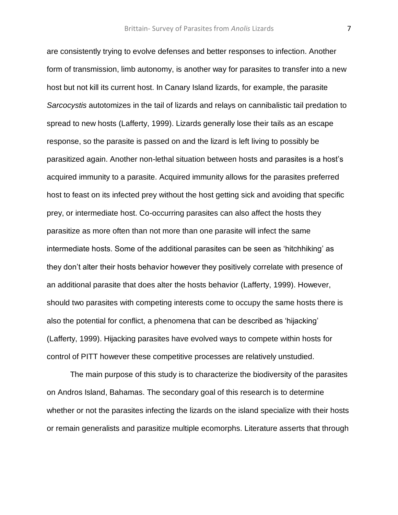are consistently trying to evolve defenses and better responses to infection. Another form of transmission, limb autonomy, is another way for parasites to transfer into a new host but not kill its current host. In Canary Island lizards, for example, the parasite *Sarcocystis* autotomizes in the tail of lizards and relays on cannibalistic tail predation to spread to new hosts (Lafferty, 1999). Lizards generally lose their tails as an escape response, so the parasite is passed on and the lizard is left living to possibly be parasitized again. Another non-lethal situation between hosts and parasites is a host's acquired immunity to a parasite. Acquired immunity allows for the parasites preferred host to feast on its infected prey without the host getting sick and avoiding that specific prey, or intermediate host. Co-occurring parasites can also affect the hosts they parasitize as more often than not more than one parasite will infect the same intermediate hosts. Some of the additional parasites can be seen as 'hitchhiking' as they don't alter their hosts behavior however they positively correlate with presence of an additional parasite that does alter the hosts behavior (Lafferty, 1999). However, should two parasites with competing interests come to occupy the same hosts there is also the potential for conflict, a phenomena that can be described as 'hijacking' (Lafferty, 1999). Hijacking parasites have evolved ways to compete within hosts for control of PITT however these competitive processes are relatively unstudied.

The main purpose of this study is to characterize the biodiversity of the parasites on Andros Island, Bahamas. The secondary goal of this research is to determine whether or not the parasites infecting the lizards on the island specialize with their hosts or remain generalists and parasitize multiple ecomorphs. Literature asserts that through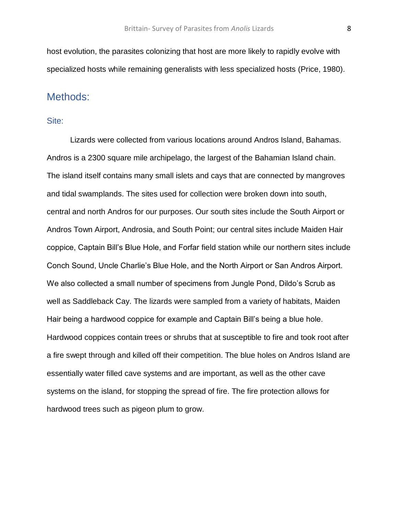host evolution, the parasites colonizing that host are more likely to rapidly evolve with specialized hosts while remaining generalists with less specialized hosts (Price, 1980).

### Methods:

#### Site:

Lizards were collected from various locations around Andros Island, Bahamas. Andros is a 2300 square mile archipelago, the largest of the Bahamian Island chain. The island itself contains many small islets and cays that are connected by mangroves and tidal swamplands. The sites used for collection were broken down into south, central and north Andros for our purposes. Our south sites include the South Airport or Andros Town Airport, Androsia, and South Point; our central sites include Maiden Hair coppice, Captain Bill's Blue Hole, and Forfar field station while our northern sites include Conch Sound, Uncle Charlie's Blue Hole, and the North Airport or San Andros Airport. We also collected a small number of specimens from Jungle Pond, Dildo's Scrub as well as Saddleback Cay. The lizards were sampled from a variety of habitats, Maiden Hair being a hardwood coppice for example and Captain Bill's being a blue hole. Hardwood coppices contain trees or shrubs that at susceptible to fire and took root after a fire swept through and killed off their competition. The blue holes on Andros Island are essentially water filled cave systems and are important, as well as the other cave systems on the island, for stopping the spread of fire. The fire protection allows for hardwood trees such as pigeon plum to grow.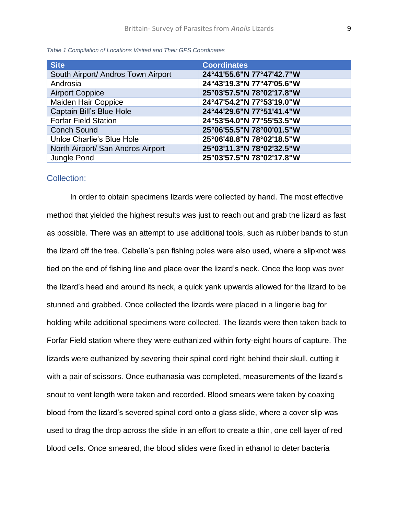| <b>Site</b>                        | <b>Coordinates</b>        |
|------------------------------------|---------------------------|
| South Airport/ Andros Town Airport | 24°41'55.6"N 77°47'42.7"W |
| Androsia                           | 24°43'19.3"N 77°47'05.6"W |
| <b>Airport Coppice</b>             | 25°03'57.5"N 78°02'17.8"W |
| <b>Maiden Hair Coppice</b>         | 24°47'54.2"N 77°53'19.0"W |
| Captain Bill's Blue Hole           | 24°44'29.6"N 77°51'41.4"W |
| <b>Forfar Field Station</b>        | 24°53'54.0"N 77°55'53.5"W |
| <b>Conch Sound</b>                 | 25°06'55.5"N 78°00'01.5"W |
| Unice Charlie's Blue Hole          | 25°06'48.8"N 78°02'18.5"W |
| North Airport/ San Andros Airport  | 25°03'11.3"N 78°02'32.5"W |
| Jungle Pond                        | 25°03'57.5"N 78°02'17.8"W |

*Table 1 Compilation of Locations Visited and Their GPS Coordinates*

#### Collection:

In order to obtain specimens lizards were collected by hand. The most effective method that yielded the highest results was just to reach out and grab the lizard as fast as possible. There was an attempt to use additional tools, such as rubber bands to stun the lizard off the tree. Cabella's pan fishing poles were also used, where a slipknot was tied on the end of fishing line and place over the lizard's neck. Once the loop was over the lizard's head and around its neck, a quick yank upwards allowed for the lizard to be stunned and grabbed. Once collected the lizards were placed in a lingerie bag for holding while additional specimens were collected. The lizards were then taken back to Forfar Field station where they were euthanized within forty-eight hours of capture. The lizards were euthanized by severing their spinal cord right behind their skull, cutting it with a pair of scissors. Once euthanasia was completed, measurements of the lizard's snout to vent length were taken and recorded. Blood smears were taken by coaxing blood from the lizard's severed spinal cord onto a glass slide, where a cover slip was used to drag the drop across the slide in an effort to create a thin, one cell layer of red blood cells. Once smeared, the blood slides were fixed in ethanol to deter bacteria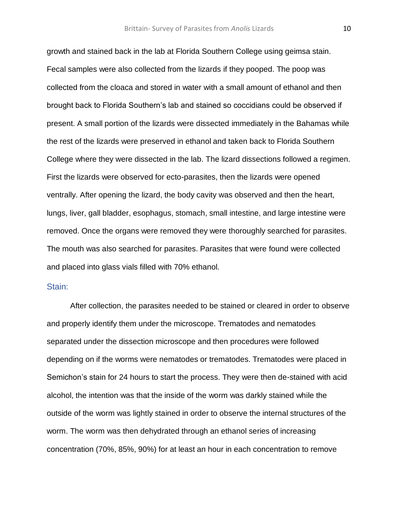growth and stained back in the lab at Florida Southern College using geimsa stain. Fecal samples were also collected from the lizards if they pooped. The poop was collected from the cloaca and stored in water with a small amount of ethanol and then brought back to Florida Southern's lab and stained so coccidians could be observed if present. A small portion of the lizards were dissected immediately in the Bahamas while the rest of the lizards were preserved in ethanol and taken back to Florida Southern College where they were dissected in the lab. The lizard dissections followed a regimen. First the lizards were observed for ecto-parasites, then the lizards were opened ventrally. After opening the lizard, the body cavity was observed and then the heart, lungs, liver, gall bladder, esophagus, stomach, small intestine, and large intestine were removed. Once the organs were removed they were thoroughly searched for parasites. The mouth was also searched for parasites. Parasites that were found were collected and placed into glass vials filled with 70% ethanol.

#### Stain:

After collection, the parasites needed to be stained or cleared in order to observe and properly identify them under the microscope. Trematodes and nematodes separated under the dissection microscope and then procedures were followed depending on if the worms were nematodes or trematodes. Trematodes were placed in Semichon's stain for 24 hours to start the process. They were then de-stained with acid alcohol, the intention was that the inside of the worm was darkly stained while the outside of the worm was lightly stained in order to observe the internal structures of the worm. The worm was then dehydrated through an ethanol series of increasing concentration (70%, 85%, 90%) for at least an hour in each concentration to remove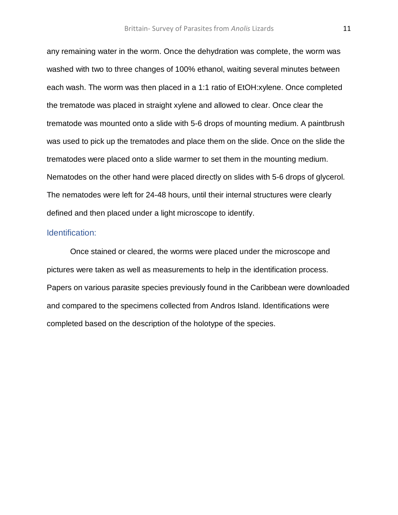any remaining water in the worm. Once the dehydration was complete, the worm was washed with two to three changes of 100% ethanol, waiting several minutes between each wash. The worm was then placed in a 1:1 ratio of EtOH:xylene. Once completed the trematode was placed in straight xylene and allowed to clear. Once clear the trematode was mounted onto a slide with 5-6 drops of mounting medium. A paintbrush was used to pick up the trematodes and place them on the slide. Once on the slide the trematodes were placed onto a slide warmer to set them in the mounting medium. Nematodes on the other hand were placed directly on slides with 5-6 drops of glycerol. The nematodes were left for 24-48 hours, until their internal structures were clearly defined and then placed under a light microscope to identify.

#### Identification:

Once stained or cleared, the worms were placed under the microscope and pictures were taken as well as measurements to help in the identification process. Papers on various parasite species previously found in the Caribbean were downloaded and compared to the specimens collected from Andros Island. Identifications were completed based on the description of the holotype of the species.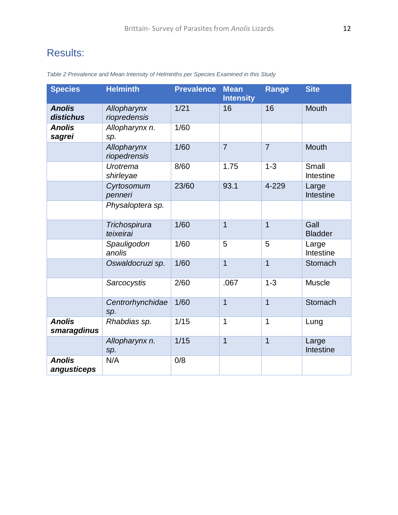# Results:

| <b>Species</b>               | <b>Helminth</b>             | <b>Prevalence</b> | <b>Mean</b><br><b>Intensity</b> | <b>Range</b>   | <b>Site</b>            |
|------------------------------|-----------------------------|-------------------|---------------------------------|----------------|------------------------|
| <b>Anolis</b><br>distichus   | Allopharynx<br>riopredensis | 1/21              | 16                              | 16             | <b>Mouth</b>           |
| <b>Anolis</b><br>sagrei      | Allopharynx n.<br>sp.       | 1/60              |                                 |                |                        |
|                              | Allopharynx<br>riopedrensis | 1/60              | $\overline{7}$                  | $\overline{7}$ | <b>Mouth</b>           |
|                              | Urotrema<br>shirleyae       | 8/60              | 1.75                            | $1 - 3$        | Small<br>Intestine     |
|                              | Cyrtosomum<br>penneri       | 23/60             | 93.1                            | 4-229          | Large<br>Intestine     |
|                              | Physaloptera sp.            |                   |                                 |                |                        |
|                              | Trichospirura<br>teixeirai  | 1/60              | $\overline{1}$                  | $\overline{1}$ | Gall<br><b>Bladder</b> |
|                              | Spauligodon<br>anolis       | 1/60              | 5                               | 5              | Large<br>Intestine     |
|                              | Oswaldocruzi sp.            | 1/60              | $\overline{1}$                  | $\overline{1}$ | Stomach                |
|                              | Sarcocystis                 | 2/60              | .067                            | $1 - 3$        | <b>Muscle</b>          |
|                              | Centrorhynchidae<br>sp.     | 1/60              | $\overline{1}$                  | $\overline{1}$ | Stomach                |
| <b>Anolis</b><br>smaragdinus | Rhabdias sp.                | 1/15              | $\mathbf 1$                     | $\overline{1}$ | Lung                   |
|                              | Allopharynx n.<br>sp.       | 1/15              | $\overline{1}$                  | $\overline{1}$ | Large<br>Intestine     |
| <b>Anolis</b><br>angusticeps | N/A                         | 0/8               |                                 |                |                        |

*Table 2 Prevalence and Mean Intensity of Helminths per Species Examined in this Study*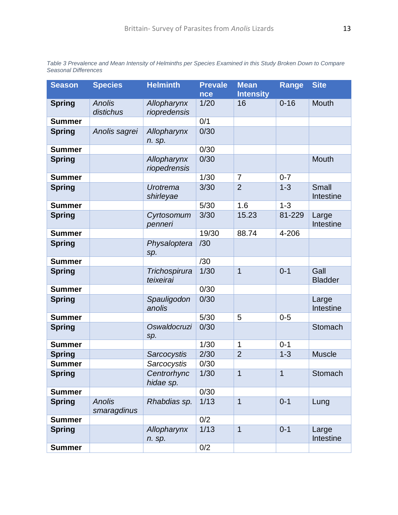*Table 3 Prevalence and Mean Intensity of Helminths per Species Examined in this Study Broken Down to Compare Seasonal Differences*

| <b>Season</b> | <b>Species</b>               | <b>Helminth</b>             | <b>Prevale</b><br>nce | <b>Mean</b><br><b>Intensity</b> | <b>Range</b> | <b>Site</b>               |
|---------------|------------------------------|-----------------------------|-----------------------|---------------------------------|--------------|---------------------------|
| <b>Spring</b> | <b>Anolis</b>                | Allopharynx                 | 1/20                  | 16                              | $0 - 16$     | Mouth                     |
|               | distichus                    | riopredensis                |                       |                                 |              |                           |
| <b>Summer</b> |                              |                             | 0/1                   |                                 |              |                           |
| <b>Spring</b> | Anolis sagrei                | Allopharynx<br>n. sp.       | 0/30                  |                                 |              |                           |
| <b>Summer</b> |                              |                             | 0/30                  |                                 |              |                           |
| <b>Spring</b> |                              | Allopharynx<br>riopedrensis | 0/30                  |                                 |              | Mouth                     |
| <b>Summer</b> |                              |                             | 1/30                  | $\overline{7}$                  | $0 - 7$      |                           |
| <b>Spring</b> |                              | Urotrema<br>shirleyae       | 3/30                  | $\overline{2}$                  | $1 - 3$      | <b>Small</b><br>Intestine |
| <b>Summer</b> |                              |                             | 5/30                  | 1.6                             | $1 - 3$      |                           |
| <b>Spring</b> |                              | Cyrtosomum<br>penneri       | 3/30                  | 15.23                           | 81-229       | Large<br>Intestine        |
| <b>Summer</b> |                              |                             | 19/30                 | 88.74                           | 4-206        |                           |
| <b>Spring</b> |                              | Physaloptera<br>sp.         | /30                   |                                 |              |                           |
| <b>Summer</b> |                              |                             | /30                   |                                 |              |                           |
| <b>Spring</b> |                              | Trichospirura<br>teixeirai  | 1/30                  | $\overline{1}$                  | $0 - 1$      | Gall<br><b>Bladder</b>    |
| <b>Summer</b> |                              |                             | 0/30                  |                                 |              |                           |
| <b>Spring</b> |                              | Spauligodon<br>anolis       | 0/30                  |                                 |              | Large<br>Intestine        |
| <b>Summer</b> |                              |                             | 5/30                  | 5                               | $0 - 5$      |                           |
| <b>Spring</b> |                              | Oswaldocruzi<br>sp.         | 0/30                  |                                 |              | Stomach                   |
| <b>Summer</b> |                              |                             | 1/30                  | 1                               | $0 - 1$      |                           |
| <b>Spring</b> |                              | Sarcocystis                 | 2/30                  | $\overline{2}$                  | $1 - 3$      | <b>Muscle</b>             |
| <b>Summer</b> |                              | Sarcocystis                 | 0/30                  |                                 |              |                           |
| <b>Spring</b> |                              | Centrorhync<br>hidae sp.    | 1/30                  | $\overline{1}$                  | $\mathbf{1}$ | Stomach                   |
| <b>Summer</b> |                              |                             | 0/30                  |                                 |              |                           |
| <b>Spring</b> | <b>Anolis</b><br>smaragdinus | Rhabdias sp.                | 1/13                  | $\mathbf 1$                     | $0 - 1$      | Lung                      |
| <b>Summer</b> |                              |                             | 0/2                   |                                 |              |                           |
| <b>Spring</b> |                              | Allopharynx<br>n. sp.       | 1/13                  | $\mathbf{1}$                    | $0 - 1$      | Large<br>Intestine        |
| <b>Summer</b> |                              |                             | 0/2                   |                                 |              |                           |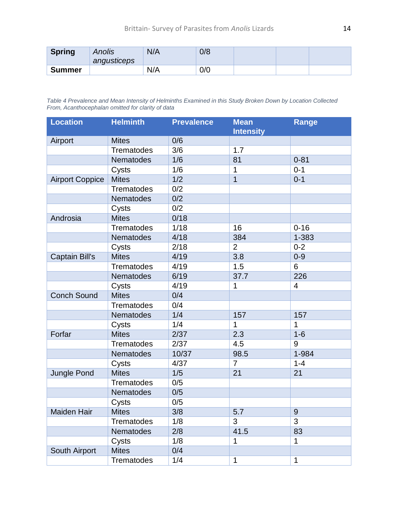| <b>Spring</b> | Anolis<br>angusticeps | N/A | 0/8 |  |  |
|---------------|-----------------------|-----|-----|--|--|
| <b>Summer</b> |                       | N/A | 0/0 |  |  |

*Table 4 Prevalence and Mean Intensity of Helminths Examined in this Study Broken Down by Location Collected From, Acanthocephalan omitted for clarity of data*

| <b>Location</b>        | <b>Helminth</b>   | <b>Prevalence</b> | <b>Mean</b><br><b>Intensity</b> | <b>Range</b>   |
|------------------------|-------------------|-------------------|---------------------------------|----------------|
| Airport                | <b>Mites</b>      | 0/6               |                                 |                |
|                        | <b>Trematodes</b> | 3/6               | 1.7                             |                |
|                        | Nematodes         | 1/6               | 81                              | $0 - 81$       |
|                        | Cysts             | 1/6               | 1                               | $0 - 1$        |
| <b>Airport Coppice</b> | <b>Mites</b>      | 1/2               | $\overline{1}$                  | $0 - 1$        |
|                        | <b>Trematodes</b> | 0/2               |                                 |                |
|                        | Nematodes         | 0/2               |                                 |                |
|                        | Cysts             | 0/2               |                                 |                |
| Androsia               | <b>Mites</b>      | 0/18              |                                 |                |
|                        | <b>Trematodes</b> | 1/18              | 16                              | $0 - 16$       |
|                        | Nematodes         | 4/18              | 384                             | 1-383          |
|                        | Cysts             | 2/18              | $\overline{2}$                  | $0 - 2$        |
| <b>Captain Bill's</b>  | <b>Mites</b>      | 4/19              | 3.8                             | $0 - 9$        |
|                        | <b>Trematodes</b> | 4/19              | 1.5                             | 6              |
|                        | Nematodes         | 6/19              | 37.7                            | 226            |
|                        | Cysts             | 4/19              | 1                               | $\overline{4}$ |
| <b>Conch Sound</b>     | <b>Mites</b>      | 0/4               |                                 |                |
|                        | <b>Trematodes</b> | 0/4               |                                 |                |
|                        | Nematodes         | 1/4               | 157                             | 157            |
|                        | Cysts             | 1/4               | $\mathbf{1}$                    | 1              |
| Forfar                 | <b>Mites</b>      | 2/37              | 2.3                             | $1-6$          |
|                        | Trematodes        | 2/37              | 4.5                             | $\mathsf 9$    |
|                        | Nematodes         | 10/37             | 98.5                            | 1-984          |
|                        | Cysts             | 4/37              | $\overline{7}$                  | $1 - 4$        |
| <b>Jungle Pond</b>     | <b>Mites</b>      | 1/5               | 21                              | 21             |
|                        | <b>Trematodes</b> | 0/5               |                                 |                |
|                        | Nematodes         | 0/5               |                                 |                |
|                        | Cysts             | 0/5               |                                 |                |
| Maiden Hair            | <b>Mites</b>      | 3/8               | 5.7                             | 9              |
|                        | <b>Trematodes</b> | 1/8               | 3                               | 3              |
|                        | Nematodes         | 2/8               | 41.5                            | 83             |
|                        | Cysts             | 1/8               | 1                               | 1              |
| South Airport          | <b>Mites</b>      | 0/4               |                                 |                |
|                        | Trematodes        | 1/4               | 1                               | 1              |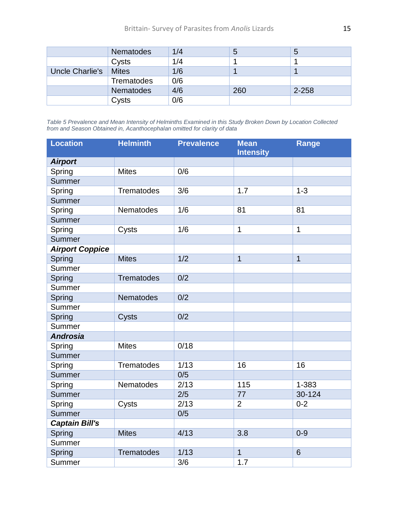|                 | Nematodes         | 1/4 | 5   | О         |
|-----------------|-------------------|-----|-----|-----------|
|                 | Cysts             | 1/4 |     |           |
| Uncle Charlie's | <b>Mites</b>      | 1/6 |     |           |
|                 | <b>Trematodes</b> | 0/6 |     |           |
|                 | <b>Nematodes</b>  | 4/6 | 260 | $2 - 258$ |
|                 | Cysts             | 0/6 |     |           |

*Table 5 Prevalence and Mean Intensity of Helminths Examined in this Study Broken Down by Location Collected from and Season Obtained in, Acanthocephalan omitted for clarity of data*

| <b>Location</b>        | <b>Helminth</b>   | <b>Prevalence</b> | <b>Mean</b><br><b>Intensity</b> | <b>Range</b>   |
|------------------------|-------------------|-------------------|---------------------------------|----------------|
| <b>Airport</b>         |                   |                   |                                 |                |
| Spring                 | <b>Mites</b>      | 0/6               |                                 |                |
| Summer                 |                   |                   |                                 |                |
| Spring                 | <b>Trematodes</b> | 3/6               | 1.7                             | $1 - 3$        |
| Summer                 |                   |                   |                                 |                |
| Spring                 | <b>Nematodes</b>  | 1/6               | 81                              | 81             |
| Summer                 |                   |                   |                                 |                |
| Spring                 | Cysts             | 1/6               | $\mathbf{1}$                    | $\mathbf 1$    |
| Summer                 |                   |                   |                                 |                |
| <b>Airport Coppice</b> |                   |                   |                                 |                |
| Spring                 | <b>Mites</b>      | 1/2               | $\overline{1}$                  | $\overline{1}$ |
| Summer                 |                   |                   |                                 |                |
| Spring                 | <b>Trematodes</b> | 0/2               |                                 |                |
| Summer                 |                   |                   |                                 |                |
| Spring                 | <b>Nematodes</b>  | 0/2               |                                 |                |
| Summer                 |                   |                   |                                 |                |
| Spring                 | Cysts             | 0/2               |                                 |                |
| Summer                 |                   |                   |                                 |                |
| <b>Androsia</b>        |                   |                   |                                 |                |
| Spring                 | <b>Mites</b>      | 0/18              |                                 |                |
| Summer                 |                   |                   |                                 |                |
| Spring                 | <b>Trematodes</b> | 1/13              | 16                              | 16             |
| Summer                 |                   | 0/5               |                                 |                |
| Spring                 | Nematodes         | 2/13              | 115                             | 1-383          |
| Summer                 |                   | 2/5               | 77                              | 30-124         |
| Spring                 | Cysts             | 2/13              | $\overline{2}$                  | $0 - 2$        |
| Summer                 |                   | 0/5               |                                 |                |
| <b>Captain Bill's</b>  |                   |                   |                                 |                |
| Spring                 | <b>Mites</b>      | 4/13              | 3.8                             | $0 - 9$        |
| Summer                 |                   |                   |                                 |                |
| Spring                 | <b>Trematodes</b> | 1/13              | $\mathbf 1$                     | $6\phantom{1}$ |
| Summer                 |                   | 3/6               | 1.7                             |                |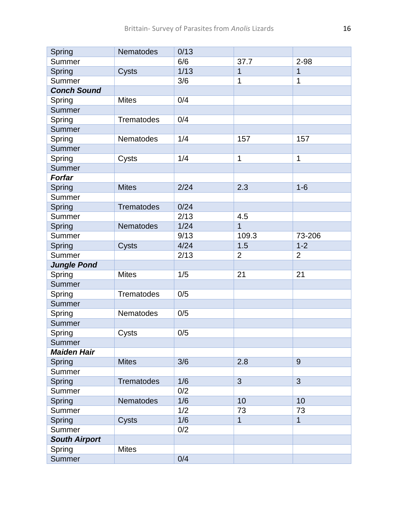| Spring               | Nematodes         | 0/13 |                |                |
|----------------------|-------------------|------|----------------|----------------|
| Summer               |                   | 6/6  | 37.7           | $2 - 98$       |
| Spring               | Cysts             | 1/13 | 1              | 1              |
| Summer               |                   | 3/6  | 1              | 1              |
| <b>Conch Sound</b>   |                   |      |                |                |
| Spring               | <b>Mites</b>      | 0/4  |                |                |
| <b>Summer</b>        |                   |      |                |                |
| Spring               | Trematodes        | 0/4  |                |                |
| Summer               |                   |      |                |                |
| Spring               | Nematodes         | 1/4  | 157            | 157            |
| <b>Summer</b>        |                   |      |                |                |
| Spring               | Cysts             | 1/4  | 1              | $\mathbf{1}$   |
| Summer               |                   |      |                |                |
| <b>Forfar</b>        |                   |      |                |                |
| Spring               | <b>Mites</b>      | 2/24 | 2.3            | $1-6$          |
| Summer               |                   |      |                |                |
| Spring               | <b>Trematodes</b> | 0/24 |                |                |
| Summer               |                   | 2/13 | 4.5            |                |
| Spring               | Nematodes         | 1/24 | $\overline{1}$ |                |
| Summer               |                   | 9/13 | 109.3          | 73-206         |
| Spring               | Cysts             | 4/24 | 1.5            | $1 - 2$        |
| Summer               |                   | 2/13 | $\overline{2}$ | $\overline{2}$ |
| <b>Jungle Pond</b>   |                   |      |                |                |
| Spring               | <b>Mites</b>      | 1/5  | 21             | 21             |
| <b>Summer</b>        |                   |      |                |                |
| Spring               | <b>Trematodes</b> | 0/5  |                |                |
| Summer               |                   |      |                |                |
| Spring               | Nematodes         | 0/5  |                |                |
| Summer               |                   |      |                |                |
| Spring               | Cysts             | 0/5  |                |                |
| Summer               |                   |      |                |                |
| <b>Maiden Hair</b>   |                   |      |                |                |
| Spring               | <b>Mites</b>      | 3/6  | 2.8            | 9              |
| Summer               |                   |      |                |                |
| Spring               | <b>Trematodes</b> | 1/6  | 3              | 3              |
| Summer               |                   | 0/2  |                |                |
| Spring               | <b>Nematodes</b>  | 1/6  | 10             | 10             |
| Summer               |                   | 1/2  | 73             | 73             |
| Spring               | Cysts             | 1/6  | $\mathbf{1}$   | $\mathbf{1}$   |
| Summer               |                   | 0/2  |                |                |
| <b>South Airport</b> |                   |      |                |                |
| Spring               | <b>Mites</b>      |      |                |                |
| Summer               |                   | 0/4  |                |                |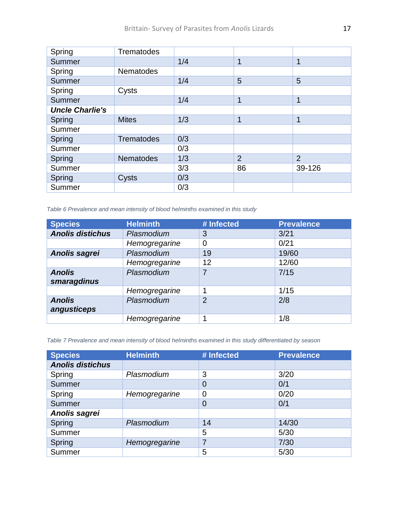| Spring                 | <b>Trematodes</b> |     |                |                |
|------------------------|-------------------|-----|----------------|----------------|
| Summer                 |                   | 1/4 | 1              | $\mathbf 1$    |
| Spring                 | <b>Nematodes</b>  |     |                |                |
| <b>Summer</b>          |                   | 1/4 | 5              | 5              |
| Spring                 | Cysts             |     |                |                |
| Summer                 |                   | 1/4 | 1              | 1              |
| <b>Uncle Charlie's</b> |                   |     |                |                |
| Spring                 | <b>Mites</b>      | 1/3 | 1              | 1              |
| Summer                 |                   |     |                |                |
| Spring                 | <b>Trematodes</b> | 0/3 |                |                |
| Summer                 |                   | 0/3 |                |                |
| Spring                 | <b>Nematodes</b>  | 1/3 | $\overline{2}$ | $\overline{2}$ |
| Summer                 |                   | 3/3 | 86             | 39-126         |
| Spring                 | Cysts             | 0/3 |                |                |
| Summer                 |                   | 0/3 |                |                |

*Table 6 Prevalence and mean intensity of blood helminths examined in this study*

| <b>Species</b>               | <b>Helminth</b> | # Infected     | <b>Prevalence</b> |
|------------------------------|-----------------|----------------|-------------------|
| <b>Anolis distichus</b>      | Plasmodium      | 3              | 3/21              |
|                              | Hemogregarine   | 0              | 0/21              |
| Anolis sagrei                | Plasmodium      | 19             | 19/60             |
|                              | Hemogregarine   | 12             | 12/60             |
| <b>Anolis</b><br>smaragdinus | Plasmodium      |                | 7/15              |
|                              | Hemogregarine   | 1              | 1/15              |
| <b>Anolis</b><br>angusticeps | Plasmodium      | $\overline{2}$ | 2/8               |
|                              | Hemogregarine   | 4              | 1/8               |

*Table 7 Prevalence and mean intensity of blood helminths examined in this study differentiated by season*

| <b>Species</b>          | <b>Helminth</b> | # Infected     | <b>Prevalence</b> |
|-------------------------|-----------------|----------------|-------------------|
| <b>Anolis distichus</b> |                 |                |                   |
| Spring                  | Plasmodium      | 3              | 3/20              |
| Summer                  |                 | $\overline{0}$ | 0/1               |
| Spring                  | Hemogregarine   | $\mathbf 0$    | 0/20              |
| Summer                  |                 | $\overline{0}$ | 0/1               |
| Anolis sagrei           |                 |                |                   |
| Spring                  | Plasmodium      | 14             | 14/30             |
| Summer                  |                 | 5              | 5/30              |
| Spring                  | Hemogregarine   | 7              | 7/30              |
| Summer                  |                 | 5              | 5/30              |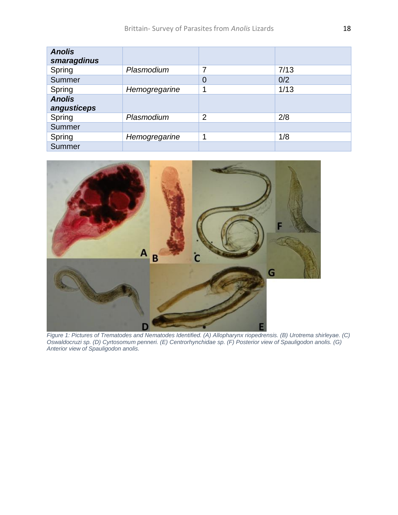| <b>Anolis</b><br>smaragdinus |               |                |      |
|------------------------------|---------------|----------------|------|
| Spring                       | Plasmodium    | 7              | 7/13 |
| Summer                       |               | $\overline{0}$ | 0/2  |
| Spring                       | Hemogregarine |                | 1/13 |
| <b>Anolis</b><br>angusticeps |               |                |      |
| Spring                       | Plasmodium    | $\overline{2}$ | 2/8  |
| Summer                       |               |                |      |
| Spring                       | Hemogregarine | ٩              | 1/8  |
| <b>Summer</b>                |               |                |      |



*Figure 1: Pictures of Trematodes and Nematodes Identified. (A) Allopharynx riopedrensis. (B) Urotrema shirleyae. (C) Oswaldocruzi sp. (D) Cyrtosomum penneri. (E) Centrorhynchidae sp. (F) Posterior view of Spauligodon anolis. (G) Anterior view of Spauligodon anolis.*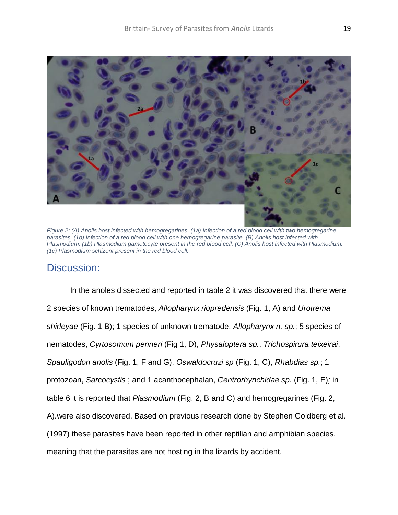

*Figure 2: (A) Anolis host infected with hemogregarines. (1a) Infection of a red blood cell with two hemogregarine*  parasites. (1b) Infection of a red blood cell with one hemogregarine parasite. (B) Anolis host infected with *Plasmodium. (1b) Plasmodium gametocyte present in the red blood cell. (C) Anolis host infected with Plasmodium. (1c) Plasmodium schizont present in the red blood cell.*

## Discussion:

In the anoles dissected and reported in table 2 it was discovered that there were 2 species of known trematodes, *Allopharynx riopredensis* (Fig. 1, A) and *Urotrema shirleyae* (Fig. 1 B); 1 species of unknown trematode, *Allopharynx n. sp.*; 5 species of nematodes, *Cyrtosomum penneri* (Fig 1, D), *Physaloptera sp.*, *Trichospirura teixeirai*, *Spauligodon anolis* (Fig. 1, F and G), *Oswaldocruzi sp* (Fig. 1, C), *Rhabdias sp.*; 1 protozoan, *Sarcocystis* ; and 1 acanthocephalan, *Centrorhynchidae sp.* (Fig. 1, E)*;* in table 6 it is reported that *Plasmodium* (Fig. 2, B and C) and hemogregarines (Fig. 2, A).were also discovered. Based on previous research done by Stephen Goldberg et al. (1997) these parasites have been reported in other reptilian and amphibian species, meaning that the parasites are not hosting in the lizards by accident.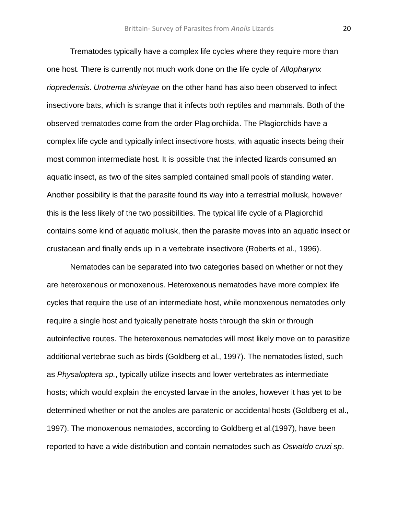Trematodes typically have a complex life cycles where they require more than one host. There is currently not much work done on the life cycle of *Allopharynx riopredensis*. *Urotrema shirleyae* on the other hand has also been observed to infect insectivore bats, which is strange that it infects both reptiles and mammals. Both of the observed trematodes come from the order Plagiorchiida. The Plagiorchids have a complex life cycle and typically infect insectivore hosts, with aquatic insects being their most common intermediate host. It is possible that the infected lizards consumed an aquatic insect, as two of the sites sampled contained small pools of standing water. Another possibility is that the parasite found its way into a terrestrial mollusk, however this is the less likely of the two possibilities. The typical life cycle of a Plagiorchid contains some kind of aquatic mollusk, then the parasite moves into an aquatic insect or crustacean and finally ends up in a vertebrate insectivore (Roberts et al., 1996).

Nematodes can be separated into two categories based on whether or not they are heteroxenous or monoxenous. Heteroxenous nematodes have more complex life cycles that require the use of an intermediate host, while monoxenous nematodes only require a single host and typically penetrate hosts through the skin or through autoinfective routes. The heteroxenous nematodes will most likely move on to parasitize additional vertebrae such as birds (Goldberg et al., 1997). The nematodes listed, such as *Physaloptera sp.*, typically utilize insects and lower vertebrates as intermediate hosts; which would explain the encysted larvae in the anoles, however it has yet to be determined whether or not the anoles are paratenic or accidental hosts (Goldberg et al., 1997). The monoxenous nematodes, according to Goldberg et al.(1997), have been reported to have a wide distribution and contain nematodes such as *Oswaldo cruzi sp*.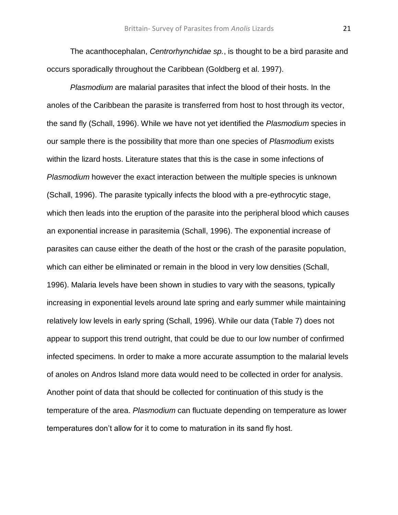The acanthocephalan, *Centrorhynchidae sp.*, is thought to be a bird parasite and occurs sporadically throughout the Caribbean (Goldberg et al. 1997).

*Plasmodium* are malarial parasites that infect the blood of their hosts. In the anoles of the Caribbean the parasite is transferred from host to host through its vector, the sand fly (Schall, 1996). While we have not yet identified the *Plasmodium* species in our sample there is the possibility that more than one species of *Plasmodium* exists within the lizard hosts. Literature states that this is the case in some infections of *Plasmodium* however the exact interaction between the multiple species is unknown (Schall, 1996). The parasite typically infects the blood with a pre-eythrocytic stage, which then leads into the eruption of the parasite into the peripheral blood which causes an exponential increase in parasitemia (Schall, 1996). The exponential increase of parasites can cause either the death of the host or the crash of the parasite population, which can either be eliminated or remain in the blood in very low densities (Schall, 1996). Malaria levels have been shown in studies to vary with the seasons, typically increasing in exponential levels around late spring and early summer while maintaining relatively low levels in early spring (Schall, 1996). While our data (Table 7) does not appear to support this trend outright, that could be due to our low number of confirmed infected specimens. In order to make a more accurate assumption to the malarial levels of anoles on Andros Island more data would need to be collected in order for analysis. Another point of data that should be collected for continuation of this study is the temperature of the area. *Plasmodium* can fluctuate depending on temperature as lower temperatures don't allow for it to come to maturation in its sand fly host.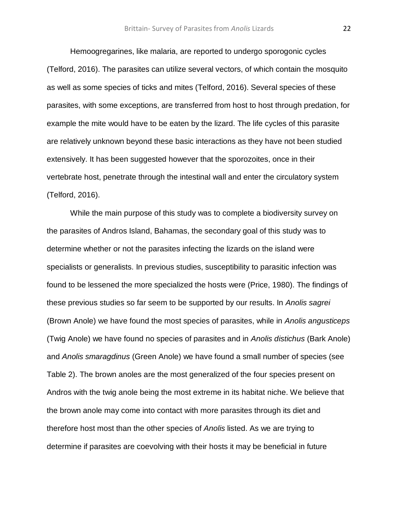Hemoogregarines, like malaria, are reported to undergo sporogonic cycles (Telford, 2016). The parasites can utilize several vectors, of which contain the mosquito as well as some species of ticks and mites (Telford, 2016). Several species of these parasites, with some exceptions, are transferred from host to host through predation, for example the mite would have to be eaten by the lizard. The life cycles of this parasite are relatively unknown beyond these basic interactions as they have not been studied extensively. It has been suggested however that the sporozoites, once in their vertebrate host, penetrate through the intestinal wall and enter the circulatory system (Telford, 2016).

While the main purpose of this study was to complete a biodiversity survey on the parasites of Andros Island, Bahamas, the secondary goal of this study was to determine whether or not the parasites infecting the lizards on the island were specialists or generalists. In previous studies, susceptibility to parasitic infection was found to be lessened the more specialized the hosts were (Price, 1980). The findings of these previous studies so far seem to be supported by our results. In *Anolis sagrei* (Brown Anole) we have found the most species of parasites, while in *Anolis angusticeps* (Twig Anole) we have found no species of parasites and in *Anolis distichus* (Bark Anole) and *Anolis smaragdinus* (Green Anole) we have found a small number of species (see Table 2). The brown anoles are the most generalized of the four species present on Andros with the twig anole being the most extreme in its habitat niche. We believe that the brown anole may come into contact with more parasites through its diet and therefore host most than the other species of *Anolis* listed. As we are trying to determine if parasites are coevolving with their hosts it may be beneficial in future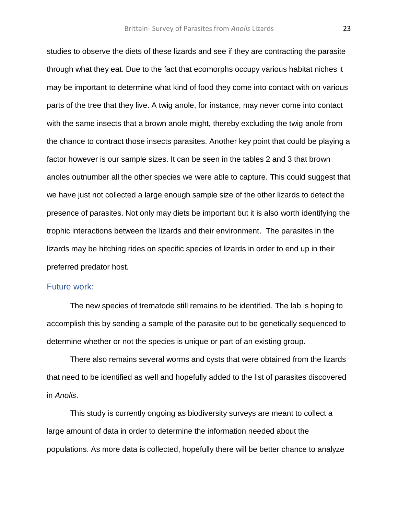studies to observe the diets of these lizards and see if they are contracting the parasite through what they eat. Due to the fact that ecomorphs occupy various habitat niches it may be important to determine what kind of food they come into contact with on various parts of the tree that they live. A twig anole, for instance, may never come into contact with the same insects that a brown anole might, thereby excluding the twig anole from the chance to contract those insects parasites. Another key point that could be playing a factor however is our sample sizes. It can be seen in the tables 2 and 3 that brown anoles outnumber all the other species we were able to capture. This could suggest that we have just not collected a large enough sample size of the other lizards to detect the presence of parasites. Not only may diets be important but it is also worth identifying the trophic interactions between the lizards and their environment. The parasites in the lizards may be hitching rides on specific species of lizards in order to end up in their preferred predator host.

#### Future work:

The new species of trematode still remains to be identified. The lab is hoping to accomplish this by sending a sample of the parasite out to be genetically sequenced to determine whether or not the species is unique or part of an existing group.

There also remains several worms and cysts that were obtained from the lizards that need to be identified as well and hopefully added to the list of parasites discovered in *Anolis*.

This study is currently ongoing as biodiversity surveys are meant to collect a large amount of data in order to determine the information needed about the populations. As more data is collected, hopefully there will be better chance to analyze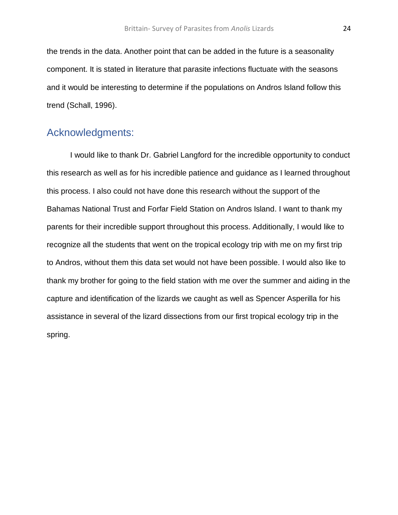the trends in the data. Another point that can be added in the future is a seasonality component. It is stated in literature that parasite infections fluctuate with the seasons and it would be interesting to determine if the populations on Andros Island follow this trend (Schall, 1996).

## Acknowledgments:

I would like to thank Dr. Gabriel Langford for the incredible opportunity to conduct this research as well as for his incredible patience and guidance as I learned throughout this process. I also could not have done this research without the support of the Bahamas National Trust and Forfar Field Station on Andros Island. I want to thank my parents for their incredible support throughout this process. Additionally, I would like to recognize all the students that went on the tropical ecology trip with me on my first trip to Andros, without them this data set would not have been possible. I would also like to thank my brother for going to the field station with me over the summer and aiding in the capture and identification of the lizards we caught as well as Spencer Asperilla for his assistance in several of the lizard dissections from our first tropical ecology trip in the spring.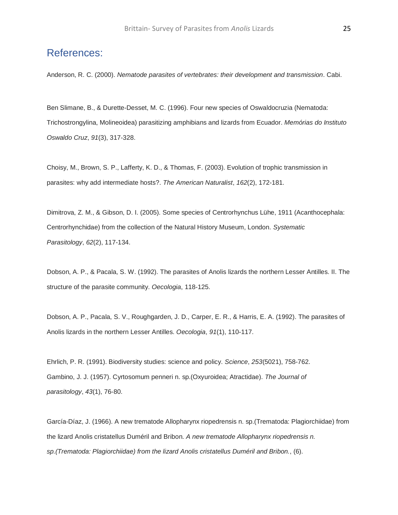## References:

Anderson, R. C. (2000). *Nematode parasites of vertebrates: their development and transmission*. Cabi.

Ben Slimane, B., & Durette-Desset, M. C. (1996). Four new species of Oswaldocruzia (Nematoda: Trichostrongylina, Molineoidea) parasitizing amphibians and lizards from Ecuador. *Memórias do Instituto Oswaldo Cruz*, *91*(3), 317-328.

Choisy, M., Brown, S. P., Lafferty, K. D., & Thomas, F. (2003). Evolution of trophic transmission in parasites: why add intermediate hosts?. *The American Naturalist*, *162*(2), 172-181.

Dimitrova, Z. M., & Gibson, D. I. (2005). Some species of Centrorhynchus Lühe, 1911 (Acanthocephala: Centrorhynchidae) from the collection of the Natural History Museum, London. *Systematic Parasitology*, *62*(2), 117-134.

Dobson, A. P., & Pacala, S. W. (1992). The parasites of Anolis lizards the northern Lesser Antilles. II. The structure of the parasite community. *Oecologia*, 118-125.

Dobson, A. P., Pacala, S. V., Roughgarden, J. D., Carper, E. R., & Harris, E. A. (1992). The parasites of Anolis lizards in the northern Lesser Antilles. *Oecologia*, *91*(1), 110-117.

Ehrlich, P. R. (1991). Biodiversity studies: science and policy. *Science*, *253*(5021), 758-762. Gambino, J. J. (1957). Cyrtosomum penneri n. sp.(Oxyuroidea; Atractidae). *The Journal of parasitology*, *43*(1), 76-80.

García-Díaz, J. (1966). A new trematode Allopharynx riopedrensis n. sp.(Trematoda: Plagiorchiidae) from the lizard Anolis cristatellus Duméril and Bribon. *A new trematode Allopharynx riopedrensis n. sp.(Trematoda: Plagiorchiidae) from the lizard Anolis cristatellus Duméril and Bribon.*, (6).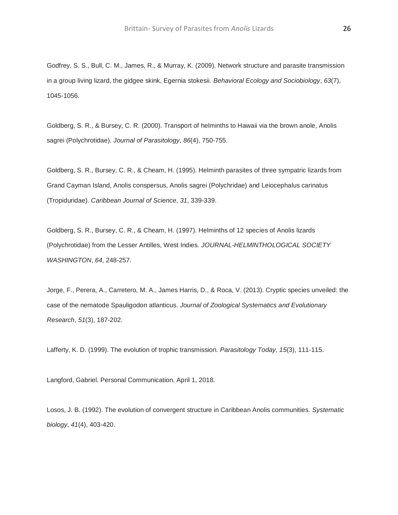Godfrey, S. S., Bull, C. M., James, R., & Murray, K. (2009). Network structure and parasite transmission in a group living lizard, the gidgee skink, Egernia stokesii. *Behavioral Ecology and Sociobiology*, *63*(7), 1045-1056.

Goldberg, S. R., & Bursey, C. R. (2000). Transport of helminths to Hawaii via the brown anole, Anolis sagrei (Polychrotidae). *Journal of Parasitology*, *86*(4), 750-755.

Goldberg, S. R., Bursey, C. R., & Cheam, H. (1995). Helminth parasites of three sympatric lizards from Grand Cayman Island, Anolis conspersus, Anolis sagrei (Polychridae) and Leiocephalus carinatus (Tropiduridae). *Caribbean Journal of Science*, *31*, 339-339.

Goldberg, S. R., Bursey, C. R., & Cheam, H. (1997). Helminths of 12 species of Anolis lizards (Polychrotidae) from the Lesser Antilles, West Indies. *JOURNAL-HELMINTHOLOGICAL SOCIETY WASHINGTON*, *64*, 248-257.

Jorge, F., Perera, A., Carretero, M. A., James Harris, D., & Roca, V. (2013). Cryptic species unveiled: the case of the nematode Spauligodon atlanticus. *Journal of Zoological Systematics and Evolutionary Research*, *51*(3), 187-202.

Lafferty, K. D. (1999). The evolution of trophic transmission. *Parasitology Today*, *15*(3), 111-115.

Langford, Gabriel. Personal Communication. April 1, 2018.

Losos, J. B. (1992). The evolution of convergent structure in Caribbean Anolis communities. *Systematic biology*, *41*(4), 403-420.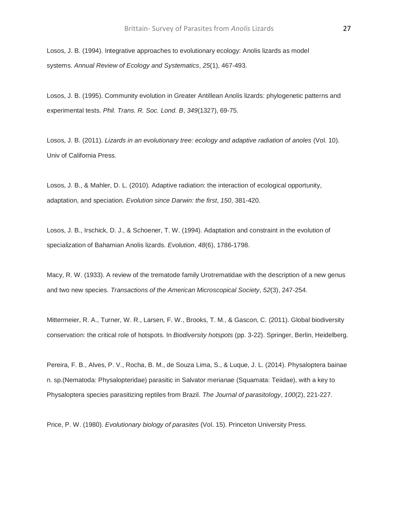Losos, J. B. (1994). Integrative approaches to evolutionary ecology: Anolis lizards as model systems. *Annual Review of Ecology and Systematics*, *25*(1), 467-493.

Losos, J. B. (1995). Community evolution in Greater Antillean Anolis lizards: phylogenetic patterns and experimental tests. *Phil. Trans. R. Soc. Lond. B*, *349*(1327), 69-75.

Losos, J. B. (2011). *Lizards in an evolutionary tree: ecology and adaptive radiation of anoles* (Vol. 10). Univ of California Press.

Losos, J. B., & Mahler, D. L. (2010). Adaptive radiation: the interaction of ecological opportunity, adaptation, and speciation. *Evolution since Darwin: the first*, *150*, 381-420.

Losos, J. B., Irschick, D. J., & Schoener, T. W. (1994). Adaptation and constraint in the evolution of specialization of Bahamian Anolis lizards. *Evolution*, *48*(6), 1786-1798.

Macy, R. W. (1933). A review of the trematode family Urotrematidae with the description of a new genus and two new species. *Transactions of the American Microscopical Society*, *52*(3), 247-254.

Mittermeier, R. A., Turner, W. R., Larsen, F. W., Brooks, T. M., & Gascon, C. (2011). Global biodiversity conservation: the critical role of hotspots. In *Biodiversity hotspots* (pp. 3-22). Springer, Berlin, Heidelberg.

Pereira, F. B., Alves, P. V., Rocha, B. M., de Souza Lima, S., & Luque, J. L. (2014). Physaloptera bainae n. sp.(Nematoda: Physalopteridae) parasitic in Salvator merianae (Squamata: Teiidae), with a key to Physaloptera species parasitizing reptiles from Brazil. *The Journal of parasitology*, *100*(2), 221-227.

Price, P. W. (1980). *Evolutionary biology of parasites* (Vol. 15). Princeton University Press.